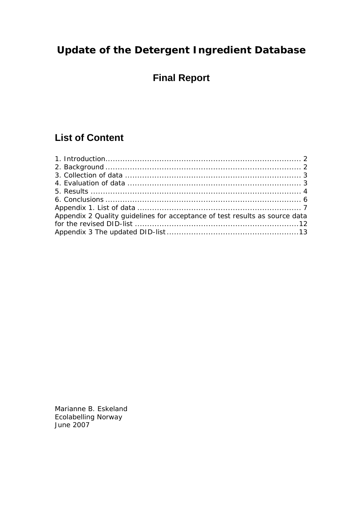# **Update of the Detergent Ingredient Database**

# **Final Report**

# **List of Content**

| Appendix 2 Quality guidelines for acceptance of test results as source data |  |
|-----------------------------------------------------------------------------|--|
|                                                                             |  |
|                                                                             |  |

Marianne B. Eskeland Ecolabelling Norway June 2007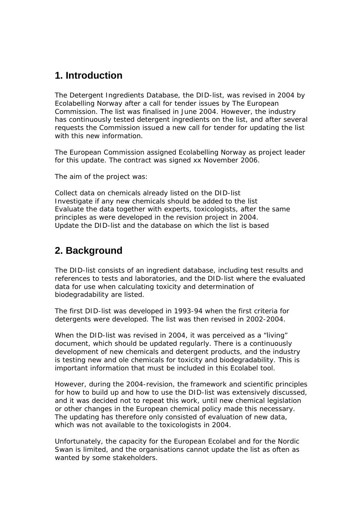## **1. Introduction**

The Detergent Ingredients Database, the DID-list, was revised in 2004 by Ecolabelling Norway after a call for tender issues by The European Commission. The list was finalised in June 2004. However, the industry has continuously tested detergent ingredients on the list, and after several requests the Commission issued a new call for tender for updating the list with this new information.

The European Commission assigned Ecolabelling Norway as project leader for this update. The contract was signed xx November 2006.

The aim of the project was:

Collect data on chemicals already listed on the DID-list Investigate if any new chemicals should be added to the list Evaluate the data together with experts, toxicologists, after the same principles as were developed in the revision project in 2004. Update the DID-list and the database on which the list is based

### **2. Background**

The DID-list consists of an ingredient database, including test results and references to tests and laboratories, and the DID-list where the evaluated data for use when calculating toxicity and determination of biodegradability are listed.

The first DID-list was developed in 1993-94 when the first criteria for detergents were developed. The list was then revised in 2002-2004.

When the DID-list was revised in 2004, it was perceived as a "living" document, which should be updated regularly. There is a continuously development of new chemicals and detergent products, and the industry is testing new and ole chemicals for toxicity and biodegradability. This is important information that must be included in this Ecolabel tool.

However, during the 2004-revision, the framework and scientific principles for how to build up and how to use the DID-list was extensively discussed, and it was decided not to repeat this work, until new chemical legislation or other changes in the European chemical policy made this necessary. The updating has therefore only consisted of evaluation of new data, which was not available to the toxicologists in 2004.

Unfortunately, the capacity for the European Ecolabel and for the Nordic Swan is limited, and the organisations cannot update the list as often as wanted by some stakeholders.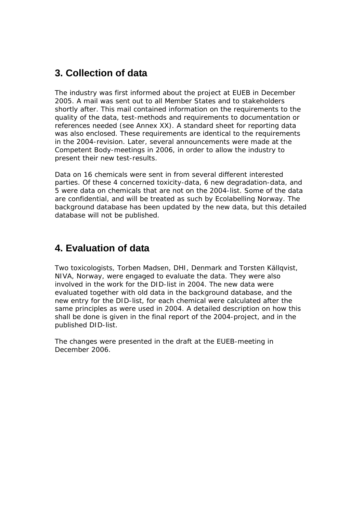# **3. Collection of data**

The industry was first informed about the project at EUEB in December 2005. A mail was sent out to all Member States and to stakeholders shortly after. This mail contained information on the requirements to the quality of the data, test-methods and requirements to documentation or references needed (see Annex XX). A standard sheet for reporting data was also enclosed. These requirements are identical to the requirements in the 2004-revision. Later, several announcements were made at the Competent Body-meetings in 2006, in order to allow the industry to present their new test-results.

Data on 16 chemicals were sent in from several different interested parties. Of these 4 concerned toxicity-data, 6 new degradation-data, and 5 were data on chemicals that are not on the 2004-list. Some of the data are confidential, and will be treated as such by Ecolabelling Norway. The background database has been updated by the new data, but this detailed database will not be published.

# **4. Evaluation of data**

Two toxicologists, Torben Madsen, DHI, Denmark and Torsten Källqvist, NIVA, Norway, were engaged to evaluate the data. They were also involved in the work for the DID-list in 2004. The new data were evaluated together with old data in the background database, and the new entry for the DID-list, for each chemical were calculated after the same principles as were used in 2004. A detailed description on how this shall be done is given in the final report of the 2004-project, and in the published DID-list.

The changes were presented in the draft at the EUEB-meeting in December 2006.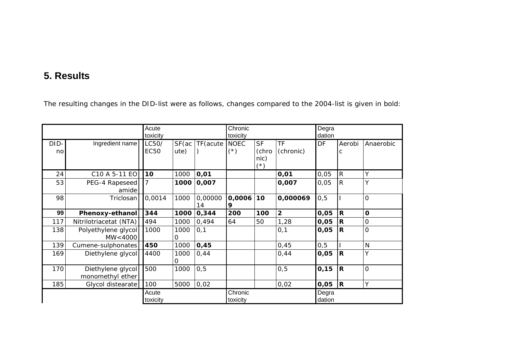# **5. Results**

The resulting changes in the DID-list were as follows, changes compared to the 2004-list is given in bold:

|            |                                       | Acute<br>toxicity    |                |               | Chronic<br>toxicity                  |                                         |                        | Degra<br>dation |                |                |
|------------|---------------------------------------|----------------------|----------------|---------------|--------------------------------------|-----------------------------------------|------------------------|-----------------|----------------|----------------|
| DID-<br>no | Ingredient name                       | LC50/<br><b>EC50</b> | SF(ac)<br>ute) | TF (acute     | <b>NOEC</b><br>$(\dot{\varepsilon})$ | <b>SF</b><br>(chro<br>nic)<br>$(\star)$ | <b>TF</b><br>(chronic) | <b>DF</b>       | Aerobi<br>C    | Anaerobic      |
| 24         | C <sub>10</sub> A 5-11 EO             | 10                   | 1000           | 0,01          |                                      |                                         | 0,01                   | 0,05            | $\overline{R}$ | Υ              |
| 53         | PEG-4 Rapeseed<br>amide               |                      | 1000           | 0,007         |                                      |                                         | 0,007                  | 0,05            | $\overline{R}$ | Ý              |
| 98         | Triclosan                             | 0,0014               | 1000           | 0,00000<br>14 | 0,0006<br>9                          | 10                                      | 0,000069               | 0, 5            |                | $\Omega$       |
| 99         | Phenoxy-ethanol                       | 344                  | 1000           | 0,344         | 200                                  | 100                                     | $\overline{2}$         | 0,05            | R              | $\mathbf{o}$   |
| 117        | Nitrilotriacetat (NTA)                | 494                  | 1000           | 0,494         | 64                                   | 50                                      | 1,28                   | 0,05            | $\mathbf R$    | $\overline{O}$ |
| 138        | Polyethylene glycol<br>MW<4000        | 1000                 | 1000           | 0,1           |                                      |                                         | 0,1                    | 0,05            | R              | $\overline{O}$ |
| 139        | Cumene-sulphonates                    | 450                  | 1000           | 0,45          |                                      |                                         | 0,45                   | 0, 5            |                | $\mathsf{N}$   |
| 169        | Diethylene glycol                     | 4400                 | 1000           | 0,44          |                                      |                                         | 0,44                   | 0,05            | R              | Y              |
| 170        | Diethylene glycol<br>monomethyl ether | 500                  | 1000           | 0,5           |                                      |                                         | 0, 5                   | 0, 15           | R              | $\overline{O}$ |
| 185        | Glycol distearate                     | 100                  | 5000           | 0,02          |                                      |                                         | 0,02                   | 0,05            | $ {\bf R}$     | Υ              |
|            |                                       | Acute<br>toxicity    |                |               | Chronic<br>toxicity                  |                                         |                        | Degra<br>dation |                |                |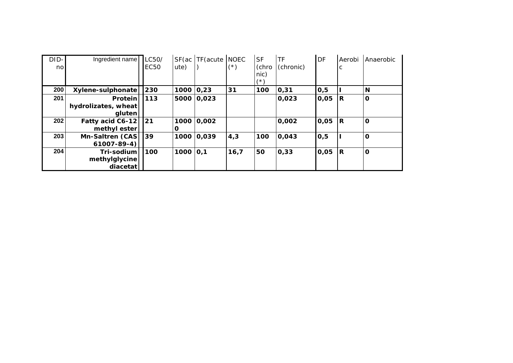| DID-<br>nol | Ingredient name                          | LC50/<br><b>EC50</b> | SF(ac)<br>ute) | TF(acute]  | <b>NOEC</b><br>$(\textcolor{red}{^*})$ | <b>SF</b><br>(chro<br>nic)<br>7* \ | TF<br>(chronic) | DF   | Aerobi<br>C | Anaerobic   |
|-------------|------------------------------------------|----------------------|----------------|------------|----------------------------------------|------------------------------------|-----------------|------|-------------|-------------|
| 200         | Xylene-sulphonate                        | 230                  | 1000 0,23      |            | 31                                     | 100                                | 0,31            | 0,5  |             | N           |
| 201         | Protein<br>hydrolizates, wheat<br>gluten | 113                  |                | 5000 0,023 |                                        |                                    | 0,023           | 0,05 | IR.         | $\mathbf 0$ |
| 202         | Fatty acid C6-12<br>methyl ester         | 121                  | О              | 1000 0,002 |                                        |                                    | 0,002           | 0,05 | R           | $\mathbf 0$ |
| 203         | Mn-Saltren (CAS)<br>61007-89-4)          | 39                   |                | 1000 0,039 | 4,3                                    | 100                                | 0,043           | 0,5  |             | $\mathbf 0$ |
| 204         | Tri-sodium<br>methylglycine<br>diacetat  | 100                  | 1000 0,1       |            | 16,7                                   | 50                                 | 0,33            | 0,05 | IR.         | $\mathbf 0$ |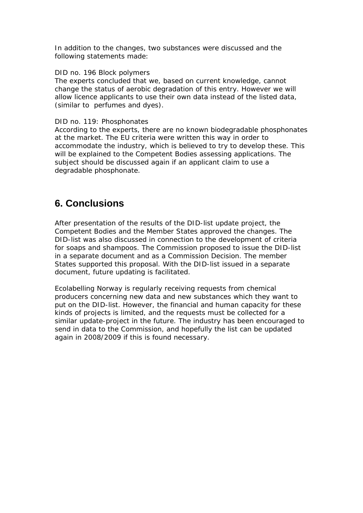In addition to the changes, two substances were discussed and the following statements made:

#### DID no. 196 Block polymers

The experts concluded that we, based on current knowledge, cannot change the status of aerobic degradation of this entry. However we will allow licence applicants to use their own data instead of the listed data, (similar to perfumes and dyes).

#### DID no. 119: Phosphonates

According to the experts, there are no known biodegradable phosphonates at the market. The EU criteria were written this way in order to accommodate the industry, which is believed to try to develop these. This will be explained to the Competent Bodies assessing applications. The subject should be discussed again if an applicant claim to use a degradable phosphonate.

## **6. Conclusions**

After presentation of the results of the DID-list update project, the Competent Bodies and the Member States approved the changes. The DID-list was also discussed in connection to the development of criteria for soaps and shampoos. The Commission proposed to issue the DID-list in a separate document and as a Commission Decision. The member States supported this proposal. With the DID-list issued in a separate document, future updating is facilitated.

Ecolabelling Norway is regularly receiving requests from chemical producers concerning new data and new substances which they want to put on the DID-list. However, the financial and human capacity for these kinds of projects is limited, and the requests must be collected for a similar update-project in the future. The industry has been encouraged to send in data to the Commission, and hopefully the list can be updated again in 2008/2009 if this is found necessary.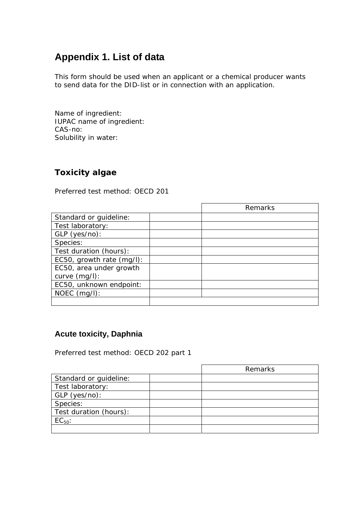# **Appendix 1. List of data**

This form should be used when an applicant or a chemical producer wants to send data for the DID-list or in connection with an application.

Name of ingredient: IUPAC name of ingredient: CAS-no: Solubility in water:

### **Toxicity algae**

Preferred test method: OECD 201

|                           | Remarks |
|---------------------------|---------|
| Standard or guideline:    |         |
| Test laboratory:          |         |
| $GLP$ (yes/no):           |         |
| Species:                  |         |
| Test duration (hours):    |         |
| EC50, growth rate (mg/l): |         |
| EC50, area under growth   |         |
| curve $(mg/l)$ :          |         |
| EC50, unknown endpoint:   |         |
| $NOEC$ (mg/l):            |         |
|                           |         |

### **Acute toxicity, Daphnia**

Preferred test method: OECD 202 part 1

|                        | Remarks |
|------------------------|---------|
| Standard or guideline: |         |
| Test laboratory:       |         |
| GLP (yes/no):          |         |
| Species:               |         |
| Test duration (hours): |         |
| $EC_{50}$ :            |         |
|                        |         |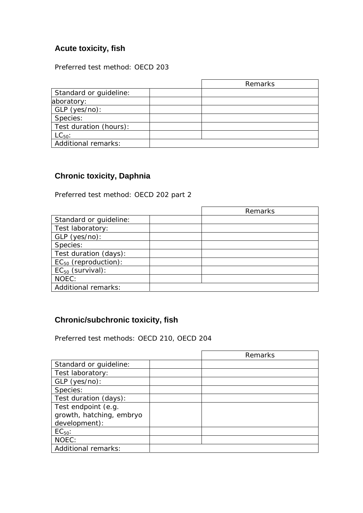### **Acute toxicity, fish**

Preferred test method: OECD 203

|                        | Remarks |
|------------------------|---------|
| Standard or guideline: |         |
| aboratory:             |         |
| GLP (yes/no):          |         |
| Species:               |         |
| Test duration (hours): |         |
| $LC_{50}$ :            |         |
| Additional remarks:    |         |

### **Chronic toxicity, Daphnia**

Preferred test method: OECD 202 part 2

|                            | Remarks |
|----------------------------|---------|
| Standard or guideline:     |         |
| Test laboratory:           |         |
| GLP (yes/no):              |         |
| Species:                   |         |
| Test duration (days):      |         |
| $EC_{50}$ (reproduction):  |         |
| $EC_{50}$ (survival):      |         |
| NOEC:                      |         |
| <b>Additional remarks:</b> |         |

## **Chronic/subchronic toxicity, fish**

Preferred test methods: OECD 210, OECD 204

|                          | Remarks |
|--------------------------|---------|
| Standard or guideline:   |         |
| Test laboratory:         |         |
| $GLP$ (yes/no):          |         |
| Species:                 |         |
| Test duration (days):    |         |
| Test endpoint (e.g.      |         |
| growth, hatching, embryo |         |
| development):            |         |
| $EC_{50}$ :              |         |
| NOEC:                    |         |
| Additional remarks:      |         |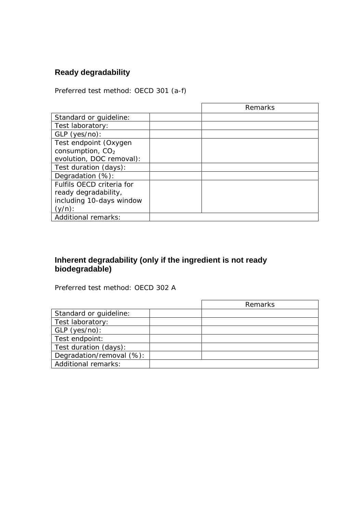# **Ready degradability**

Preferred test method: OECD 301 (a-f)

|                            | Remarks |
|----------------------------|---------|
| Standard or quideline:     |         |
| Test laboratory:           |         |
| $GLP$ (yes/no):            |         |
| Test endpoint (Oxygen      |         |
| consumption, $CO2$         |         |
| evolution, DOC removal):   |         |
| Test duration (days):      |         |
| Degradation (%):           |         |
| Fulfils OECD criteria for  |         |
| ready degradability,       |         |
| including 10-days window   |         |
| $(y/n)$ :                  |         |
| <b>Additional remarks:</b> |         |

### **Inherent degradability (only if the ingredient is not ready biodegradable)**

Preferred test method: OECD 302 A

|                          | Remarks |
|--------------------------|---------|
| Standard or guideline:   |         |
| Test laboratory:         |         |
| GLP (yes/no):            |         |
| Test endpoint:           |         |
| Test duration (days):    |         |
| Degradation/removal (%): |         |
| Additional remarks:      |         |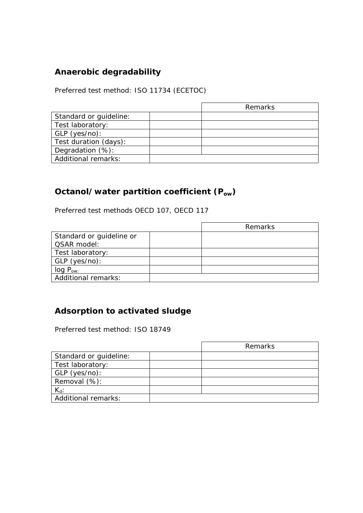## **Anaerobic degradability**

Preferred test method: ISO 11734 (ECETOC)

|                        | Remarks |
|------------------------|---------|
| Standard or guideline: |         |
| Test laboratory:       |         |
| GLP (yes/no):          |         |
| Test duration (days):  |         |
| Degradation (%):       |         |
| Additional remarks:    |         |

## **Octanol/water partition coefficient (Pow)**

Preferred test methods OECD 107, OECD 117

|                            | Remarks |
|----------------------------|---------|
| Standard or guideline or   |         |
| QSAR model:                |         |
| Test laboratory:           |         |
| GLP (yes/no):              |         |
| OW:                        |         |
| <b>Additional remarks:</b> |         |

## **Adsorption to activated sludge**

Preferred test method: ISO 18749

|                            | Remarks |
|----------------------------|---------|
| Standard or guideline:     |         |
| Test laboratory:           |         |
| GLP (yes/no):              |         |
| Removal (%):               |         |
| $K_d$ :                    |         |
| <b>Additional remarks:</b> |         |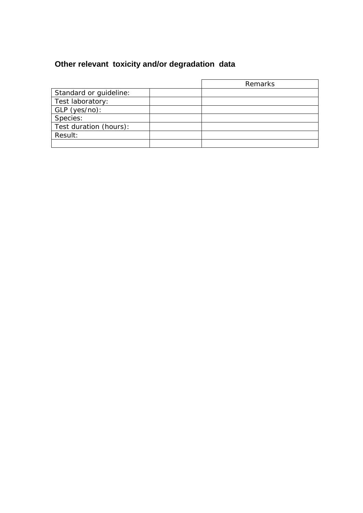# **Other relevant toxicity and/or degradation data**

|                        | Remarks |
|------------------------|---------|
| Standard or guideline: |         |
| Test laboratory:       |         |
| GLP (yes/no):          |         |
| Species:               |         |
| Test duration (hours): |         |
| Result:                |         |
|                        |         |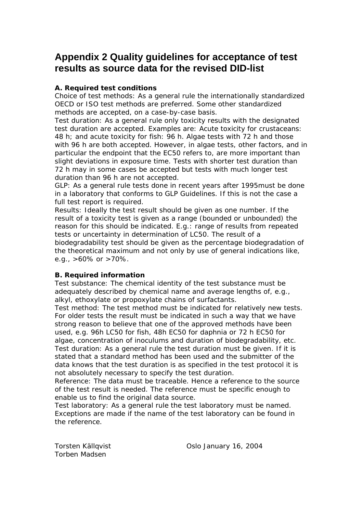# **Appendix 2 Quality guidelines for acceptance of test results as source data for the revised DID-list**

### **A. Required test conditions**

Choice of test methods: As a general rule the internationally standardized OECD or ISO test methods are preferred. Some other standardized methods are accepted, on a case-by-case basis.

Test duration: As a general rule only toxicity results with the designated test duration are accepted. Examples are: Acute toxicity for crustaceans: 48 h; and acute toxicity for fish: 96 h. Algae tests with 72 h and those with 96 h are both accepted. However, in algae tests, other factors, and in particular the endpoint that the EC50 refers to, are more important than slight deviations in exposure time. Tests with shorter test duration than 72 h may in some cases be accepted but tests with much longer test duration than 96 h are not accepted.

GLP: As a general rule tests done in recent years after 1995must be done in a laboratory that conforms to GLP Guidelines. If this is not the case a full test report is required.

Results: Ideally the test result should be given as one number. If the result of a toxicity test is given as a range (bounded or unbounded) the reason for this should be indicated. E.g.: range of results from repeated tests or uncertainty in determination of LC50. The result of a biodegradability test should be given as the percentage biodegradation of the theoretical maximum and not only by use of general indications like, e.g.,  $>60\%$  or  $>70\%$ .

### **B. Required information**

Test substance: The chemical identity of the test substance must be adequately described by chemical name and average lengths of, e.g., alkyl, ethoxylate or propoxylate chains of surfactants.

Test method: The test method must be indicated for relatively new tests. For older tests the result must be indicated in such a way that we have strong reason to believe that one of the approved methods have been used, e.g. 96h LC50 for fish, 48h EC50 for daphnia or 72 h EC50 for algae, concentration of inoculums and duration of biodegradability, etc. Test duration: As a general rule the test duration must be given. If it is stated that a standard method has been used and the submitter of the data knows that the test duration is as specified in the test protocol it is not absolutely necessary to specify the test duration.

Reference: The data must be traceable. Hence a reference to the source of the test result is needed. The reference must be specific enough to enable us to find the original data source.

Test laboratory: As a general rule the test laboratory must be named. Exceptions are made if the name of the test laboratory can be found in the reference.

Torben Madsen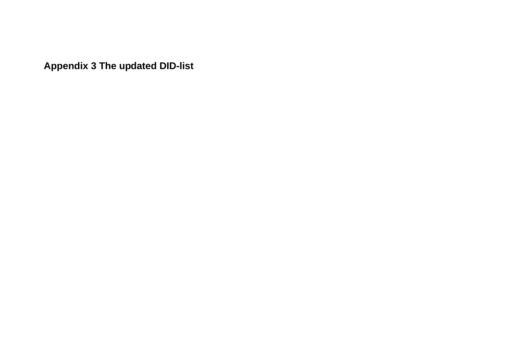**Appendix 3 The updated DID-list**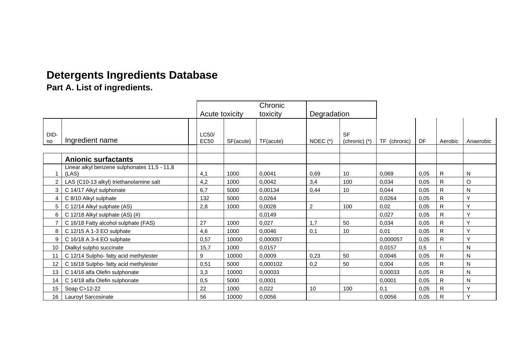# **Detergents Ingredients Database**

**Part A. List of ingredients.** 

|                 |                                                       |                      |           | Chronic   |                |                              |              |      |              |              |
|-----------------|-------------------------------------------------------|----------------------|-----------|-----------|----------------|------------------------------|--------------|------|--------------|--------------|
|                 |                                                       | Acute toxicity       |           | toxicity  | Degradation    |                              |              |      |              |              |
| DID-<br>no      | Ingredient name                                       | LC50/<br><b>EC50</b> | SF(acute) | TF(acute) | NOEC $(*)$     | <b>SF</b><br>(chronic) $(*)$ | TF (chronic) | DF   | Aerobic      | Anaerobic    |
|                 | <b>Anionic surfactants</b>                            |                      |           |           |                |                              |              |      |              |              |
|                 | Linear alkyl benzene sulphonates 11,5 - 11,8<br>(LAS) | 4,1                  | 1000      | 0,0041    | 0.69           | 10                           | 0,069        | 0,05 | R            | N            |
| $\overline{2}$  | LAS (C10-13 alkyl) triethanolamine salt               | 4,2                  | 1000      | 0,0042    | 3,4            | 100                          | 0.034        | 0,05 | R            | O            |
| 3               | C 14/17 Alkyl sulphonate                              | 6,7                  | 5000      | 0,00134   | 0,44           | 10                           | 0,044        | 0,05 | $\mathsf{R}$ | N            |
| 4               | C 8/10 Alkyl sulphate                                 | 132                  | 5000      | 0,0264    |                |                              | 0,0264       | 0,05 | R            | Y            |
| 5               | C 12/14 Alkyl sulphate (AS)                           | 2,8                  | 1000      | 0,0028    | $\overline{c}$ | 100                          | 0,02         | 0,05 | R.           | v            |
| 6               | C 12/18 Alkyl sulphate (AS) (#)                       |                      |           | 0.0149    |                |                              | 0,027        | 0,05 | R            | $\checkmark$ |
| $\overline{7}$  | C 16/18 Fatty alcohol sulphate (FAS)                  | 27                   | 1000      | 0,027     | 1,7            | 50                           | 0,034        | 0,05 | R            | $\checkmark$ |
| 8               | C 12/15 A 1-3 EO sulphate                             | 4,6                  | 1000      | 0,0046    | 0,1            | 10                           | 0,01         | 0,05 | $\mathsf{R}$ | $\checkmark$ |
| 9               | C 16/18 A 3-4 EO sulphate                             | 0,57                 | 10000     | 0,000057  |                |                              | 0,000057     | 0,05 | $\mathsf{R}$ | Y            |
| 10              | Dialkyl sulpho succinate                              | 15,7                 | 1000      | 0,0157    |                |                              | 0.0157       | 0,5  |              | N            |
| 11              | C 12/14 Sulpho- fatty acid methylester                | 9                    | 10000     | 0.0009    | 0,23           | 50                           | 0.0046       | 0,05 | R            | N            |
| 12 <sup>2</sup> | C 16/18 Sulpho- fatty acid methylester                | 0,51                 | 5000      | 0,000102  | 0,2            | 50                           | 0,004        | 0,05 | R            | N            |
| 13 <sup>2</sup> | C 14/16 alfa Olefin sulphonate                        | 3,3                  | 10000     | 0.00033   |                |                              | 0.00033      | 0,05 | $\mathsf{R}$ | ${\sf N}$    |
| 14              | C 14/18 alfa Olefin sulphonate                        | 0,5                  | 5000      | 0,0001    |                |                              | 0,0001       | 0,05 | R            | N            |
| 15              | Soap C>12-22                                          | 22                   | 1000      | 0,022     | 10             | 100                          | 0,1          | 0,05 | $\mathsf{R}$ | Υ            |
| 16              | Lauroyl Sarcosinate                                   | 56                   | 10000     | 0,0056    |                |                              | 0,0056       | 0,05 | ${\sf R}$    | $\checkmark$ |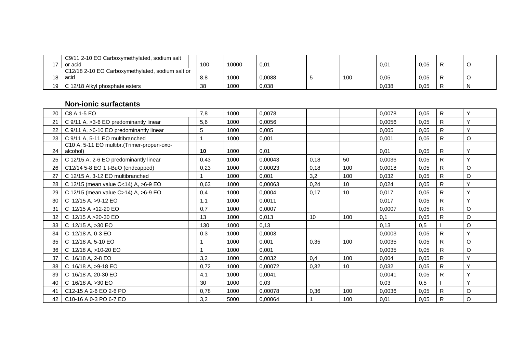|    | C9/11 2-10 EO Carboxymethylated, sodium salt     |     |       |        |     |       |      |   |
|----|--------------------------------------------------|-----|-------|--------|-----|-------|------|---|
|    | or acid                                          | 100 | 10000 | 0,01   |     | 0,01  | 0.05 |   |
|    | C12/18 2-10 EO Carboxymethylated, sodium salt or |     |       |        |     |       |      |   |
| 18 | acid                                             | 8,8 | 1000  | 0.0088 | 100 | 0,05  | 0.05 |   |
| 19 | C 12/18 Alkyl phosphate esters                   | 38  | 1000  | 0,038  |     | 0,038 | 0,05 | N |

#### **Non-ionic surfactants**

| 20 | C8 A 1-5 EO                                             | 7,8  | 1000 | 0,0078  |      |     | 0,0078 | 0,05 | $\mathsf{R}$ | Y           |
|----|---------------------------------------------------------|------|------|---------|------|-----|--------|------|--------------|-------------|
| 21 | C 9/11 A, >3-6 EO predominantly linear                  | 5,6  | 1000 | 0,0056  |      |     | 0,0056 | 0,05 | $\mathsf{R}$ | Y           |
| 22 | C 9/11 A, >6-10 EO predominantly linear                 | 5    | 1000 | 0,005   |      |     | 0.005  | 0,05 | $\mathsf{R}$ | Y           |
| 23 | C 9/11 A, 5-11 EO multibranched                         |      | 1000 | 0,001   |      |     | 0,001  | 0.05 | $\mathsf{R}$ | $\circ$     |
| 24 | C10 A, 5-11 EO multibr. (Trimer-propen-oxo-<br>alcohol) | 10   | 1000 | 0,01    |      |     | 0,01   | 0,05 | $\mathsf{R}$ | Y           |
| 25 | C 12/15 A, 2-6 EO predominantly linear                  | 0,43 | 1000 | 0,00043 | 0,18 | 50  | 0.0036 | 0,05 | $\mathsf{R}$ | Υ           |
| 26 | C12/14 5-8 EO 1 t-BuO (endcapped)                       | 0,23 | 1000 | 0,00023 | 0,18 | 100 | 0,0018 | 0,05 | $\mathsf{R}$ | $\mathsf O$ |
| 27 | C 12/15 A, 3-12 EO multibranched                        |      | 1000 | 0,001   | 3,2  | 100 | 0,032  | 0,05 | $\mathsf{R}$ | $\circ$     |
| 28 | C 12/15 (mean value C<14) A, >6-9 EO                    | 0,63 | 1000 | 0,00063 | 0,24 | 10  | 0,024  | 0,05 | $\mathsf{R}$ | Y           |
| 29 | C 12/15 (mean value C>14) A, $>6-9$ EO                  | 0,4  | 1000 | 0,0004  | 0,17 | 10  | 0,017  | 0,05 | $\mathsf{R}$ | Y           |
| 30 | C 12/15 A, >9-12 EO                                     | 1,1  | 1000 | 0,0011  |      |     | 0,017  | 0,05 | $\mathsf{R}$ | Y           |
| 31 | $\mathsf{C}$<br>12/15 A > 12-20 EO                      | 0,7  | 1000 | 0,0007  |      |     | 0,0007 | 0.05 | $\mathsf{R}$ | $\circ$     |
| 32 | C 12/15 A > 20-30 EO                                    | 13   | 1000 | 0,013   | 10   | 100 | 0,1    | 0,05 | $\mathsf{R}$ | $\mathsf O$ |
| 33 | C 12/15 A, >30 EO                                       | 130  | 1000 | 0,13    |      |     | 0,13   | 0,5  |              | $\mathsf O$ |
| 34 | C 12/18 A, 0-3 EO                                       | 0,3  | 1000 | 0,0003  |      |     | 0,0003 | 0,05 | $\mathsf{R}$ | Y           |
| 35 | C 12/18 A, 5-10 EO                                      |      | 1000 | 0,001   | 0,35 | 100 | 0,0035 | 0,05 | $\mathsf{R}$ | $\mathsf O$ |
| 36 | C.<br>12/18 A, >10-20 EO                                |      | 1000 | 0,001   |      |     | 0.0035 | 0,05 | $\mathsf{R}$ | $\circ$     |
| 37 | C 16/18 A, 2-8 EO                                       | 3,2  | 1000 | 0,0032  | 0,4  | 100 | 0,004  | 0,05 | $\mathsf{R}$ | Y           |
| 38 | 16/18 A, >9-18 EO<br>C.                                 | 0,72 | 1000 | 0.00072 | 0,32 | 10  | 0,032  | 0,05 | $\mathsf{R}$ | Y           |
| 39 | C 16/18 A, 20-30 EO                                     | 4,1  | 1000 | 0,0041  |      |     | 0,0041 | 0,05 | $\mathsf{R}$ | Y           |
| 40 | C 16/18 A, >30 EO                                       | 30   | 1000 | 0,03    |      |     | 0,03   | 0,5  |              | Y           |
| 41 | C <sub>12</sub> -15 A 2-6 EO 2-6 PO                     | 0,78 | 1000 | 0,00078 | 0,36 | 100 | 0,0036 | 0,05 | $\mathsf{R}$ | $\circ$     |
| 42 | C <sub>10</sub> -16 A 0-3 PO 6-7 EO                     | 3,2  | 5000 | 0.00064 |      | 100 | 0,01   | 0,05 | $\mathsf{R}$ | $\mathsf O$ |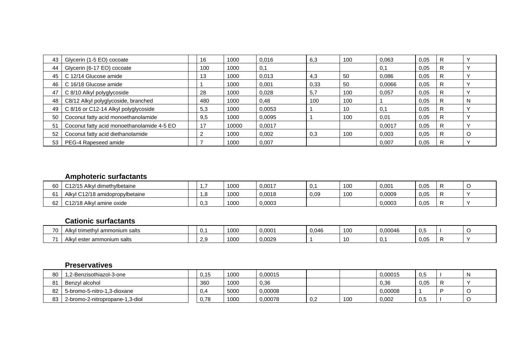| 43 | Glycerin (1-5 EO) cocoate                  | 16  | 1000  | 0.016  | 6,3  | 100 | 0,063  | 0.05 |   |   |
|----|--------------------------------------------|-----|-------|--------|------|-----|--------|------|---|---|
| 44 | Glycerin (6-17 EO) cocoate                 | 100 | 1000  | 0,1    |      |     | 0,1    | 0.05 | R |   |
| 45 | C 12/14 Glucose amide                      | 13  | 1000  | 0.013  | 4,3  | 50  | 0.086  | 0.05 | R |   |
| 46 | C 16/18 Glucose amide                      |     | 1000  | 0.001  | 0,33 | 50  | 0,0066 | 0,05 |   |   |
| 47 | C 8/10 Alkyl polyglycoside                 | 28  | 1000  | 0,028  | 5,7  | 100 | 0,057  | 0.05 |   |   |
| 48 | C8/12 Alkyl polyglycoside, branched        | 480 | 1000  | 0,48   | 100  | 100 |        | 0.05 | R |   |
| 49 | C 8/16 or C12-14 Alkyl polyglycoside       | 5,3 | 1000  | 0.0053 |      | 10  | 0,1    | 0,05 | R |   |
| 50 | Coconut fatty acid monoethanolamide        | 9,5 | 1000  | 0.0095 |      | 100 | 0.01   | 0.05 | R |   |
| 51 | Coconut fatty acid monoethanolamide 4-5 EO | 17  | 10000 | 0.0017 |      |     | 0.0017 | 0.05 | R |   |
| 52 | Coconut fatty acid diethanolamide          |     | 1000  | 0,002  | 0,3  | 100 | 0,003  | 0.05 | R | C |
| 53 | PEG-4 Rapeseed amide                       |     | 1000  | 0,007  |      |     | 0,007  | 0.05 | R |   |

### **Amphoteric surfactants**

| 60            | C12/15 Alkyl dimethylbetaine    |     | 1000 | 0,0017 | 0.   | 100 | 0,001  | 0.05 |     |
|---------------|---------------------------------|-----|------|--------|------|-----|--------|------|-----|
|               | Alkyl C12/18 amidopropylbetaine |     | 1000 | 0,0018 | 0,09 | 100 | 0,0009 | 0,05 |     |
| $\sim$<br>0Z. | C12/18 Alkyl amine oxide        | 0,3 | 1000 | 0,0003 |      |     | 0,0003 | 0,05 | . . |

### **Cationic surfactants**

| $\overline{z}$<br> | Alk\<br>l ammonium salts<br>trimethyl         |  | 1000 | $0.000^{\circ}$ | $\bigcap_{\alpha}$ | 10 <sub>C</sub> | 0.00046 | u.J  |  |
|--------------------|-----------------------------------------------|--|------|-----------------|--------------------|-----------------|---------|------|--|
| $\rightarrow$      | Alk <sub>\</sub><br>r ammonium salts<br>ester |  | 1000 | ,0029           |                    | 10              | u.      | ∪.∪≎ |  |

#### **Preservatives**

| 80 | 1.2-Benzisothiazol-3-one        | 0.15 | 1000 | 0.00015 |               |     | 0.00015 | $\sim$<br>U.S |  |
|----|---------------------------------|------|------|---------|---------------|-----|---------|---------------|--|
| 81 | Benzvl alcohol                  | 360  | 1000 | 0,36    |               |     | 0,36    | 0.05          |  |
| 82 | 5-bromo-5-nitro-1.3-dioxane     | 0,4  | 5000 | J.00008 |               |     | 0,00008 |               |  |
| 83 | 2-bromo-2-nitropropane-1,3-diol | 0.78 | 1000 | 0.00078 | $\sim$<br>v,z | 100 | 0,002   | U.J           |  |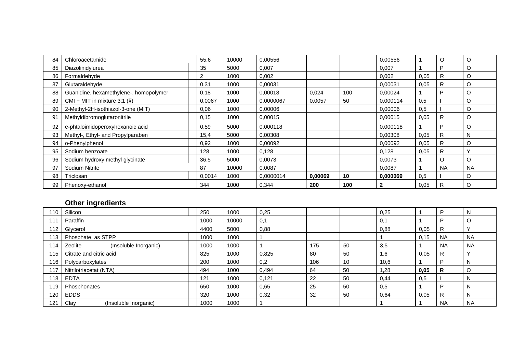| 84 | Chloroacetamide                        | 55,6   | 10000 | 0.00556   |         |     | 0,00556      |      | $\circ$   | O         |
|----|----------------------------------------|--------|-------|-----------|---------|-----|--------------|------|-----------|-----------|
| 85 | Diazolinidylurea                       | 35     | 5000  | 0,007     |         |     | 0,007        |      | P         | O         |
| 86 | Formaldehyde                           |        | 1000  | 0,002     |         |     | 0,002        | 0,05 | R         | O         |
| 87 | Glutaraldehyde                         | 0,31   | 1000  | 0,00031   |         |     | 0,00031      | 0,05 | R.        | O         |
| 88 | Guanidine, hexamethylene-, homopolymer | 0,18   | 1000  | 0,00018   | 0,024   | 100 | 0,00024      |      | P         | O         |
| 89 | CMI + MIT in mixture 3:1 $(S)$         | 0,0067 | 1000  | 0,0000067 | 0,0057  | 50  | 0,000114     | 0,5  |           | O         |
| 90 | 2-Methyl-2H-isothiazol-3-one (MIT)     | 0.06   | 1000  | 0,00006   |         |     | 0,00006      | 0,5  |           | O         |
| 91 | Methyldibromoglutaronitrile            | 0,15   | 1000  | 0,00015   |         |     | 0,00015      | 0,05 | R         | O         |
| 92 | e-phtaloimidoperoxyhexanoic acid       | 0,59   | 5000  | 0,000118  |         |     | 0,000118     |      | P         | O         |
| 93 | Methyl-, Ethyl- and Propylparaben      | 15,4   | 5000  | 0,00308   |         |     | 0.00308      | 0,05 | R         | N         |
| 94 | o-Phenylphenol                         | 0,92   | 1000  | 0,00092   |         |     | 0,00092      | 0,05 | R.        | O         |
| 95 | Sodium benzoate                        | 128    | 1000  | 0,128     |         |     | 0,128        | 0,05 | R         |           |
| 96 | Sodium hydroxy methyl glycinate        | 36,5   | 5000  | 0,0073    |         |     | 0,0073       |      | $\circ$   | O         |
| 97 | Sodium Nitrite                         | 87     | 10000 | 0,0087    |         |     | 0,0087       |      | <b>NA</b> | <b>NA</b> |
| 98 | Triclosan                              | 0,0014 | 1000  | 0,0000014 | 0,00069 | 10  | 0,000069     | 0,5  |           | O         |
| 99 | Phenoxy-ethanol                        | 344    | 1000  | 0,344     | 200     | 100 | $\mathbf{2}$ | 0,05 | R         | $\circ$   |

### **Other ingredients**

| $110$ . | Silicon                          | 250  | 1000  | 0,25  |     |    | 0,25 |      | D         | N            |
|---------|----------------------------------|------|-------|-------|-----|----|------|------|-----------|--------------|
| 111     | Paraffin                         | 1000 | 10000 | 0,1   |     |    | 0,1  |      | D         | $\circ$      |
| 112     | Glycerol                         | 4400 | 5000  | 0,88  |     |    | 0,88 | 0,05 | R         | $\mathbf{v}$ |
| 113     | Phosphate, as STPP               | 1000 | 1000  |       |     |    |      | 0,15 | <b>NA</b> | <b>NA</b>    |
| 114     | (Insoluble Inorganic)<br>Zeolite | 1000 | 1000  |       | 175 | 50 | 3,5  |      | <b>NA</b> | <b>NA</b>    |
| 115     | Citrate and citric acid          | 825  | 1000  | 0,825 | 80  | 50 | 1,6  | 0,05 | R         |              |
| 116     | Polycarboxylates                 | 200  | 1000  | 0,2   | 106 | 10 | 10,6 |      | D         | N            |
| 117     | Nitrilotriacetat (NTA)           | 494  | 1000  | 0,494 | 64  | 50 | 1,28 | 0,05 | R         | O            |
| 118     | <b>EDTA</b>                      | 121  | 1000  | 0,121 | 22  | 50 | 0,44 | 0,5  |           | N            |
| 119     | Phosphonates                     | 650  | 1000  | 0,65  | 25  | 50 | 0,5  |      | D         | N            |
| 120     | <b>EDDS</b>                      | 320  | 1000  | 0,32  | 32  | 50 | 0,64 | 0,05 | R         | N            |
| 121     | (Insoluble Inorganic)<br>Clay    | 1000 | 1000  |       |     |    |      |      | <b>NA</b> | <b>NA</b>    |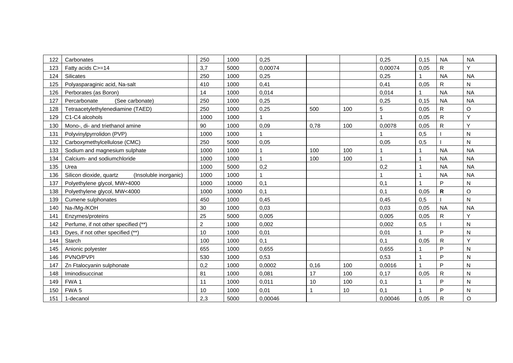| 122 | Carbonates                                       | 250            | 1000  | 0,25         |      |     | 0,25         | 0,15         | <b>NA</b> | <b>NA</b>    |
|-----|--------------------------------------------------|----------------|-------|--------------|------|-----|--------------|--------------|-----------|--------------|
| 123 | Fatty acids C>=14                                | 3,7            | 5000  | 0,00074      |      |     | 0,00074      | 0,05         | R         | Y            |
| 124 | Silicates                                        | 250            | 1000  | 0,25         |      |     | 0,25         | 1            | <b>NA</b> | <b>NA</b>    |
| 125 | Polyasparaginic acid, Na-salt                    | 410            | 1000  | 0,41         |      |     | 0,41         | 0,05         | R         | $\mathsf{N}$ |
| 126 | Perborates (as Boron)                            | 14             | 1000  | 0,014        |      |     | 0,014        | $\mathbf{1}$ | <b>NA</b> | <b>NA</b>    |
| 127 | (See carbonate)<br>Percarbonate                  | 250            | 1000  | 0,25         |      |     | 0,25         | 0, 15        | <b>NA</b> | <b>NA</b>    |
| 128 | Tetraacetylethylenediamine (TAED)                | 250            | 1000  | 0,25         | 500  | 100 | 5            | 0,05         | R         | $\mathsf O$  |
| 129 | C1-C4 alcohols                                   | 1000           | 1000  |              |      |     |              | 0,05         | R         | Y            |
| 130 | Mono-, di- and triethanol amine                  | 90             | 1000  | 0,09         | 0,78 | 100 | 0,0078       | 0,05         | R         | Y            |
| 131 | Polyvinylpyrrolidon (PVP)                        | 1000           | 1000  |              |      |     |              | 0,5          |           | $\mathsf{N}$ |
| 132 | Carboxymethylcellulose (CMC)                     | 250            | 5000  | 0,05         |      |     | 0,05         | 0,5          |           | ${\sf N}$    |
| 133 | Sodium and magnesium sulphate                    | 1000           | 1000  |              | 100  | 100 | 1            | 1            | <b>NA</b> | <b>NA</b>    |
| 134 | Calcium- and sodiumchloride                      | 1000           | 1000  |              | 100  | 100 | $\mathbf{1}$ | $\mathbf{1}$ | <b>NA</b> | <b>NA</b>    |
| 135 | Urea                                             | 1000           | 5000  | 0,2          |      |     | 0,2          |              | <b>NA</b> | <b>NA</b>    |
| 136 | Silicon dioxide, quartz<br>(Insoluble inorganic) | 1000           | 1000  | $\mathbf{1}$ |      |     | 1            |              | <b>NA</b> | <b>NA</b>    |
| 137 | Polyethylene glycol, MW>4000                     | 1000           | 10000 | 0,1          |      |     | 0,1          |              | P         | N            |
| 138 | Polyethylene glycol, MW<4000                     | 1000           | 10000 | 0,1          |      |     | 0,1          | 0,05         | R         | $\mathsf O$  |
| 139 | Cumene sulphonates                               | 450            | 1000  | 0,45         |      |     | 0,45         | 0,5          |           | N            |
| 140 | Na-/Mg-/KOH                                      | 30             | 1000  | 0,03         |      |     | 0,03         | 0,05         | <b>NA</b> | <b>NA</b>    |
| 141 | Enzymes/proteins                                 | 25             | 5000  | 0,005        |      |     | 0,005        | 0,05         | R         | Ý            |
| 142 | Perfume, if not other specified (**)             | $\overline{c}$ | 1000  | 0.002        |      |     | 0.002        | 0,5          |           | $\mathsf{N}$ |
| 143 | Dyes, if not other specified (**)                | 10             | 1000  | 0,01         |      |     | 0,01         |              | P         | N            |
| 144 | Starch                                           | 100            | 1000  | 0,1          |      |     | 0,1          | 0,05         | R         | Y            |
| 145 | Anionic polyester                                | 655            | 1000  | 0,655        |      |     | 0,655        |              | P         | N            |
| 146 | PVNO/PVPI                                        | 530            | 1000  | 0,53         |      |     | 0,53         | 1            | P         | N            |
| 147 | Zn Ftalocyanin sulphonate                        | 0,2            | 1000  | 0,0002       | 0,16 | 100 | 0,0016       |              | P         | N            |
| 148 | Iminodisuccinat                                  | 81             | 1000  | 0,081        | 17   | 100 | 0,17         | 0,05         | R         | ${\sf N}$    |
| 149 | FWA1                                             | 11             | 1000  | 0,011        | 10   | 100 | 0,1          |              | P         | N            |
| 150 | FWA <sub>5</sub>                                 | 10             | 1000  | 0,01         |      | 10  | 0,1          |              | P         | N            |
| 151 | 1-decanol                                        | 2,3            | 5000  | 0,00046      |      |     | 0,00046      | 0,05         | R         | $\circ$      |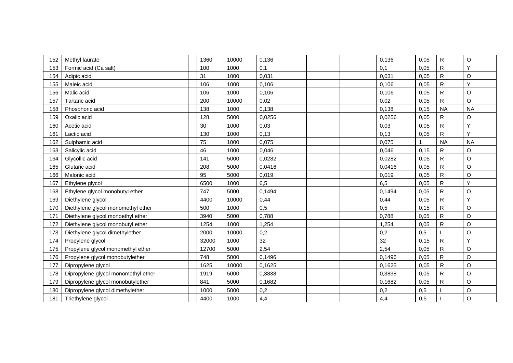| 152 | Methyl laurate                      | 1360  | 10000 | 0,136  |  | 0,136  | 0,05 | $\mathsf{R}$ | O           |
|-----|-------------------------------------|-------|-------|--------|--|--------|------|--------------|-------------|
| 153 | Formic acid (Ca salt)               | 100   | 1000  | 0,1    |  | 0,1    | 0,05 | R            | Y           |
| 154 | Adipic acid                         | 31    | 1000  | 0,031  |  | 0,031  | 0,05 | $\mathsf{R}$ | $\mathsf O$ |
| 155 | Maleic acid                         | 106   | 1000  | 0,106  |  | 0,106  | 0,05 | R            | Ý           |
| 156 | Malic acid                          | 106   | 1000  | 0,106  |  | 0,106  | 0,05 | ${\sf R}$    | $\circ$     |
| 157 | Tartaric acid                       | 200   | 10000 | 0,02   |  | 0,02   | 0,05 | R            | $\mathsf O$ |
| 158 | Phosphoric acid                     | 138   | 1000  | 0,138  |  | 0,138  | 0,15 | <b>NA</b>    | <b>NA</b>   |
| 159 | Oxalic acid                         | 128   | 5000  | 0,0256 |  | 0,0256 | 0,05 | R            | O           |
| 160 | Acetic acid                         | 30    | 1000  | 0,03   |  | 0,03   | 0,05 | R            | Y           |
| 161 | Lactic acid                         | 130   | 1000  | 0,13   |  | 0,13   | 0,05 | R            | Y           |
| 162 | Sulphamic acid                      | 75    | 1000  | 0,075  |  | 0,075  | 1    | <b>NA</b>    | <b>NA</b>   |
| 163 | Salicylic acid                      | 46    | 1000  | 0,046  |  | 0,046  | 0,15 | R            | O           |
| 164 | Glycollic acid                      | 141   | 5000  | 0,0282 |  | 0,0282 | 0,05 | R            | $\mathsf O$ |
| 165 | Glutaric acid                       | 208   | 5000  | 0,0416 |  | 0,0416 | 0,05 | R            | $\circ$     |
| 166 | Malonic acid                        | 95    | 5000  | 0,019  |  | 0,019  | 0,05 | R            | $\mathsf O$ |
| 167 | Ethylene glycol                     | 6500  | 1000  | 6,5    |  | 6,5    | 0,05 | ${\sf R}$    | Y           |
| 168 | Ethylene glycol monobutyl ether     | 747   | 5000  | 0,1494 |  | 0,1494 | 0,05 | R            | $\mathsf O$ |
| 169 | Diethylene glycol                   | 4400  | 10000 | 0,44   |  | 0,44   | 0,05 | R            | Y           |
| 170 | Diethylene glycol monomethyl ether  | 500   | 1000  | 0,5    |  | 0,5    | 0,15 | R            | $\mathsf O$ |
| 171 | Diethylene glycol monoethyl ether   | 3940  | 5000  | 0,788  |  | 0,788  | 0,05 | $\mathsf{R}$ | $\mathsf O$ |
| 172 | Diethylene glycol monobutyl ether   | 1254  | 1000  | 1,254  |  | 1,254  | 0,05 | R            | $\mathsf O$ |
| 173 | Diethylene glycol dimethylether     | 2000  | 10000 | 0,2    |  | 0,2    | 0,5  |              | $\mathsf O$ |
| 174 | Propylene glycol                    | 32000 | 1000  | 32     |  | 32     | 0,15 | R            | Y           |
| 175 | Propylene glycol monomethyl ether   | 12700 | 5000  | 2,54   |  | 2,54   | 0,05 | R            | $\mathsf O$ |
| 176 | Propylene glycol monobutylether     | 748   | 5000  | 0,1496 |  | 0,1496 | 0,05 | R            | O           |
| 177 | Dipropylene glycol                  | 1625  | 10000 | 0,1625 |  | 0,1625 | 0,05 | ${\sf R}$    | $\mathsf O$ |
| 178 | Dipropylene glycol monomethyl ether | 1919  | 5000  | 0,3838 |  | 0,3838 | 0,05 | R            | O           |
| 179 | Dipropylene glycol monobutylether   | 841   | 5000  | 0,1682 |  | 0,1682 | 0,05 | R            | $\mathsf O$ |
| 180 | Dipropylene glycol dimethylether    | 1000  | 5000  | 0,2    |  | 0,2    | 0,5  |              | O           |
| 181 | Triethylene glycol                  | 4400  | 1000  | 4,4    |  | 4,4    | 0,5  |              | $\circ$     |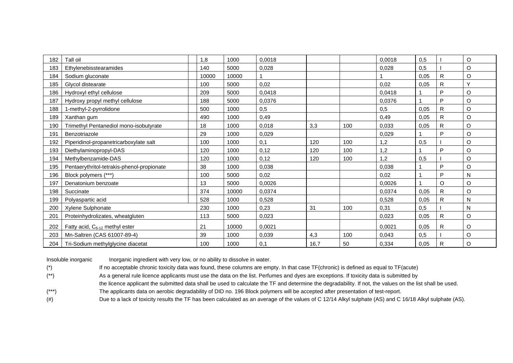| 182 | Tall oil                                   | 1,8   | 1000  | 0,0018 |      |     | 0,0018 | 0,5  |              | O         |
|-----|--------------------------------------------|-------|-------|--------|------|-----|--------|------|--------------|-----------|
| 183 | Ethylenebisstearamides                     | 140   | 5000  | 0,028  |      |     | 0,028  | 0,5  |              | O         |
| 184 | Sodium gluconate                           | 10000 | 10000 |        |      |     |        | 0,05 | R            | O         |
| 185 | Glycol distearate                          | 100   | 5000  | 0,02   |      |     | 0,02   | 0,05 | R.           | v         |
| 186 | Hydroxyl ethyl cellulose                   | 209   | 5000  | 0,0418 |      |     | 0,0418 |      | D            | O         |
| 187 | Hydroxy propyl methyl cellulose            | 188   | 5000  | 0,0376 |      |     | 0,0376 |      | P            | O         |
| 188 | 1-methyl-2-pyrrolidone                     | 500   | 1000  | 0,5    |      |     | 0,5    | 0,05 | R            | O         |
| 189 | Xanthan gum                                | 490   | 1000  | 0,49   |      |     | 0,49   | 0,05 | $\mathsf{R}$ | O         |
| 190 | Trimethyl Pentanediol mono-isobutyrate     | 18    | 1000  | 0,018  | 3,3  | 100 | 0,033  | 0,05 | R            | O         |
| 191 | Benzotriazole                              | 29    | 1000  | 0,029  |      |     | 0,029  |      | D            | O         |
| 192 | Piperidinol-propanetricarboxylate salt     | 100   | 1000  | 0,1    | 120  | 100 | 1,2    | 0,5  |              | O         |
| 193 | Diethylaminopropyl-DAS                     | 120   | 1000  | 0,12   | 120  | 100 | 1,2    |      | P            | O         |
| 194 | Methylbenzamide-DAS                        | 120   | 1000  | 0,12   | 120  | 100 | 1.2    | 0,5  |              | O         |
| 195 | Pentaerythritol-tetrakis-phenol-propionate | 38    | 1000  | 0,038  |      |     | 0,038  |      | P            | O         |
| 196 | Block polymers (***)                       | 100   | 5000  | 0,02   |      |     | 0,02   |      | D            | N         |
| 197 | Denatonium benzoate                        | 13    | 5000  | 0,0026 |      |     | 0.0026 |      | O            | O         |
| 198 | Succinate                                  | 374   | 10000 | 0,0374 |      |     | 0,0374 | 0,05 | R            | O         |
| 199 | Polyaspartic acid                          | 528   | 1000  | 0,528  |      |     | 0,528  | 0,05 | $\mathsf{R}$ | ${\sf N}$ |
| 200 | Xylene Sulphonate                          | 230   | 1000  | 0,23   | 31   | 100 | 0,31   | 0,5  |              | N         |
| 201 | Proteinhydrolizates, wheatgluten           | 113   | 5000  | 0,023  |      |     | 0,023  | 0,05 | R            | O         |
| 202 | Fatty acid, $C_{6-12}$ methyl ester        | 21    | 10000 | 0,0021 |      |     | 0,0021 | 0,05 | R            | O         |
| 203 | Mn-Saltren (CAS 61007-89-4)                | 39    | 1000  | 0,039  | 4,3  | 100 | 0,043  | 0,5  |              | O         |
| 204 | Tri-Sodium methylglycine diacetat          | 100   | 1000  | 0,1    | 16,7 | 50  | 0,334  | 0,05 | R            | O         |

Insoluble inorganic Inorganic ingredient with very low, or no ability to dissolve in water.

(\*) If no acceptable chronic toxicity data was found, these columns are empty. In that case TF(chronic) is defined as equal to TF(acute)

(\*\*) As a general rule licence applicants must use the data on the list. Perfumes and dyes are exceptions. If toxicity data is submitted by

the licence applicant the submitted data shall be used to calculate the TF and determine the degradability. If not, the values on the list shall be used.

(\*\*\*) The applicants data on aerobic degradability of DID no. 196 Block polymers will be accepted after presentation of test-report.

(#) Due to a lack of toxicity results the TF has been calculated as an average of the values of C 12/14 Alkyl sulphate (AS) and C 16/18 Alkyl sulphate (AS).